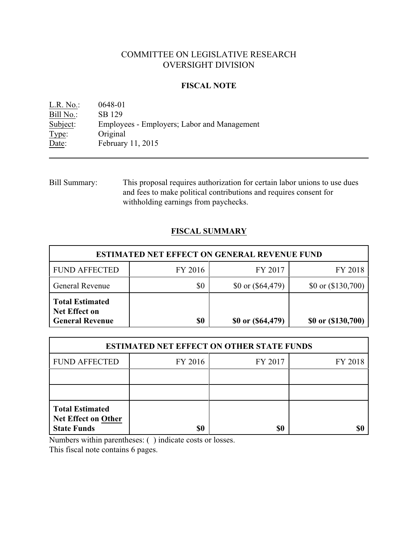# COMMITTEE ON LEGISLATIVE RESEARCH OVERSIGHT DIVISION

# **FISCAL NOTE**

L.R. No.: 0648-01 Bill No.: SB 129<br>Subject: Employee Employees - Employers; Labor and Management Type: Original Date: February 11, 2015

Bill Summary: This proposal requires authorization for certain labor unions to use dues and fees to make political contributions and requires consent for withholding earnings from paychecks.

# **FISCAL SUMMARY**

| <b>ESTIMATED NET EFFECT ON GENERAL REVENUE FUND</b>                      |         |                         |                      |  |
|--------------------------------------------------------------------------|---------|-------------------------|----------------------|--|
| <b>FUND AFFECTED</b>                                                     | FY 2016 | FY 2017                 | FY 2018              |  |
| <b>General Revenue</b>                                                   | \$0     | \$0 or $($ \$64,479 $)$ | \$0 or $(\$130,700)$ |  |
| <b>Total Estimated</b><br><b>Net Effect on</b><br><b>General Revenue</b> | \$0     | \$0 or $($ \$64,479 $)$ | \$0 or (\$130,700)   |  |

| <b>ESTIMATED NET EFFECT ON OTHER STATE FUNDS</b>                           |         |         |         |  |
|----------------------------------------------------------------------------|---------|---------|---------|--|
| <b>FUND AFFECTED</b>                                                       | FY 2016 | FY 2017 | FY 2018 |  |
|                                                                            |         |         |         |  |
|                                                                            |         |         |         |  |
| <b>Total Estimated</b><br><b>Net Effect on Other</b><br><b>State Funds</b> | \$0     | \$0     |         |  |

Numbers within parentheses: ( ) indicate costs or losses.

This fiscal note contains 6 pages.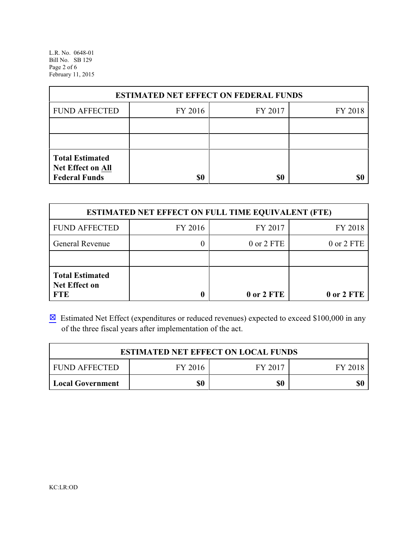L.R. No. 0648-01 Bill No. SB 129 Page 2 of 6 February 11, 2015

| <b>ESTIMATED NET EFFECT ON FEDERAL FUNDS</b>                        |         |         |         |  |
|---------------------------------------------------------------------|---------|---------|---------|--|
| <b>FUND AFFECTED</b>                                                | FY 2016 | FY 2017 | FY 2018 |  |
|                                                                     |         |         |         |  |
|                                                                     |         |         |         |  |
| <b>Total Estimated</b><br>Net Effect on All<br><b>Federal Funds</b> | \$0     | \$0     |         |  |

| <b>ESTIMATED NET EFFECT ON FULL TIME EQUIVALENT (FTE)</b>    |         |                |            |  |
|--------------------------------------------------------------|---------|----------------|------------|--|
| <b>FUND AFFECTED</b>                                         | FY 2016 | FY 2017        | FY 2018    |  |
| <b>General Revenue</b>                                       |         | $0$ or $2$ FTE | 0 or 2 FTE |  |
|                                                              |         |                |            |  |
| <b>Total Estimated</b><br><b>Net Effect on</b><br><b>FTE</b> |         | 0 or 2 FTE     | 0 or 2 FTE |  |

 $\boxtimes$  Estimated Net Effect (expenditures or reduced revenues) expected to exceed \$100,000 in any of the three fiscal years after implementation of the act.

| <b>ESTIMATED NET EFFECT ON LOCAL FUNDS</b> |         |         |         |  |
|--------------------------------------------|---------|---------|---------|--|
| <b>FUND AFFECTED</b>                       | FY 2016 | FY 2017 | FY 2018 |  |
| <b>Local Government</b>                    | \$0     | \$0     | \$0     |  |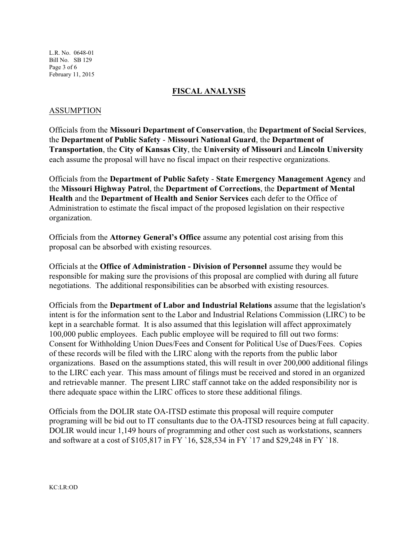L.R. No. 0648-01 Bill No. SB 129 Page 3 of 6 February 11, 2015

## **FISCAL ANALYSIS**

# ASSUMPTION

Officials from the **Missouri Department of Conservation**, the **Department of Social Services**, the **Department of Public Safety** - **Missouri National Guard**, the **Department of Transportation**, the **City of Kansas City**, the **University of Missouri** and **Lincoln University** each assume the proposal will have no fiscal impact on their respective organizations.

Officials from the **Department of Public Safety** - **State Emergency Management Agency** and the **Missouri Highway Patrol**, the **Department of Corrections**, the **Department of Mental Health** and the **Department of Health and Senior Services** each defer to the Office of Administration to estimate the fiscal impact of the proposed legislation on their respective organization.

Officials from the **Attorney General's Office** assume any potential cost arising from this proposal can be absorbed with existing resources.

Officials at the **Office of Administration - Division of Personnel** assume they would be responsible for making sure the provisions of this proposal are complied with during all future negotiations. The additional responsibilities can be absorbed with existing resources.

Officials from the **Department of Labor and Industrial Relations** assume that the legislation's intent is for the information sent to the Labor and Industrial Relations Commission (LIRC) to be kept in a searchable format. It is also assumed that this legislation will affect approximately 100,000 public employees. Each public employee will be required to fill out two forms: Consent for Withholding Union Dues/Fees and Consent for Political Use of Dues/Fees. Copies of these records will be filed with the LIRC along with the reports from the public labor organizations. Based on the assumptions stated, this will result in over 200,000 additional filings to the LIRC each year. This mass amount of filings must be received and stored in an organized and retrievable manner. The present LIRC staff cannot take on the added responsibility nor is there adequate space within the LIRC offices to store these additional filings.

Officials from the DOLIR state OA-ITSD estimate this proposal will require computer programing will be bid out to IT consultants due to the OA-ITSD resources being at full capacity. DOLIR would incur 1,149 hours of programming and other cost such as workstations, scanners and software at a cost of \$105,817 in FY `16, \$28,534 in FY `17 and \$29,248 in FY `18.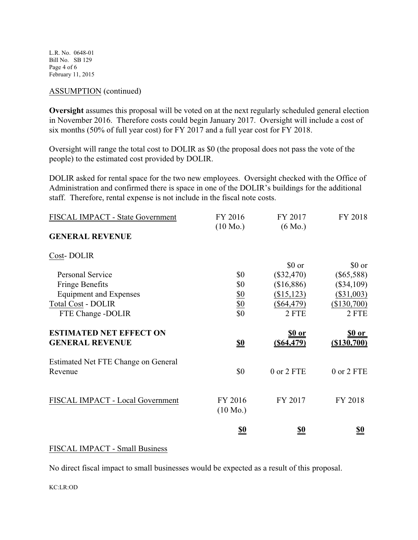L.R. No. 0648-01 Bill No. SB 129 Page 4 of 6 February 11, 2015

### ASSUMPTION (continued)

**Oversight** assumes this proposal will be voted on at the next regularly scheduled general election in November 2016. Therefore costs could begin January 2017. Oversight will include a cost of six months (50% of full year cost) for FY 2017 and a full year cost for FY 2018.

Oversight will range the total cost to DOLIR as \$0 (the proposal does not pass the vote of the people) to the estimated cost provided by DOLIR.

DOLIR asked for rental space for the two new employees. Oversight checked with the Office of Administration and confirmed there is space in one of the DOLIR's buildings for the additional staff. Therefore, rental expense is not include in the fiscal note costs.

| FISCAL IMPACT - State Government    | FY 2016               | FY 2017           | FY 2018       |
|-------------------------------------|-----------------------|-------------------|---------------|
| <b>GENERAL REVENUE</b>              | $(10 \text{ Mo.})$    | $(6 \text{ Mo.})$ |               |
| Cost-DOLIR                          |                       |                   |               |
|                                     |                       | \$0 or            | \$0 or        |
| <b>Personal Service</b>             | \$0                   | $(\$32,470)$      | $(\$65,588)$  |
| <b>Fringe Benefits</b>              | \$0                   | (\$16,886)        | $(\$34,109)$  |
| <b>Equipment and Expenses</b>       | $\frac{$0}{$0}{$0 $}$ | (\$15,123)        | $(\$31,003)$  |
| <b>Total Cost - DOLIR</b>           |                       | $(\$64,479)$      | (\$130,700)   |
| FTE Change -DOLIR                   |                       | 2 FTE             | 2 FTE         |
| <b>ESTIMATED NET EFFECT ON</b>      |                       | <u>\$0 or</u>     | <u>\$0 or</u> |
| <b>GENERAL REVENUE</b>              | <u>\$0</u>            | $($ \$64,479 $)$  | ( \$130,700)  |
| Estimated Net FTE Change on General |                       |                   |               |
| Revenue                             | \$0                   | 0 or 2 FTE        | 0 or 2 FTE    |
| FISCAL IMPACT - Local Government    | FY 2016               | FY 2017           | FY 2018       |
|                                     | $(10 \text{ Mo.})$    |                   |               |
|                                     | <u>\$0</u>            | <u>\$0</u>        | <u>\$0</u>    |
|                                     |                       |                   |               |

#### FISCAL IMPACT - Small Business

No direct fiscal impact to small businesses would be expected as a result of this proposal.

KC:LR:OD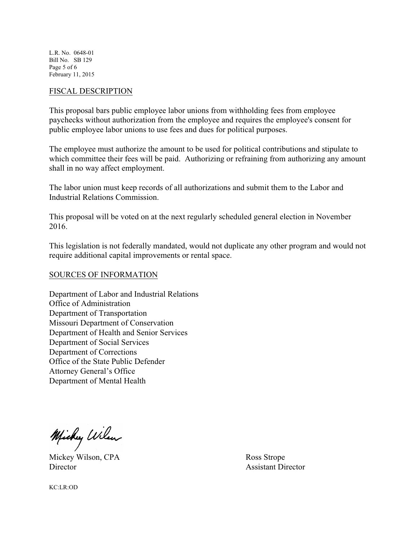L.R. No. 0648-01 Bill No. SB 129 Page 5 of 6 February 11, 2015

#### FISCAL DESCRIPTION

This proposal bars public employee labor unions from withholding fees from employee paychecks without authorization from the employee and requires the employee's consent for public employee labor unions to use fees and dues for political purposes.

The employee must authorize the amount to be used for political contributions and stipulate to which committee their fees will be paid. Authorizing or refraining from authorizing any amount shall in no way affect employment.

The labor union must keep records of all authorizations and submit them to the Labor and Industrial Relations Commission.

This proposal will be voted on at the next regularly scheduled general election in November 2016.

This legislation is not federally mandated, would not duplicate any other program and would not require additional capital improvements or rental space.

## SOURCES OF INFORMATION

Department of Labor and Industrial Relations Office of Administration Department of Transportation Missouri Department of Conservation Department of Health and Senior Services Department of Social Services Department of Corrections Office of the State Public Defender Attorney General's Office Department of Mental Health

Michy Wilen

Mickey Wilson, CPA Ross Strope Director Assistant Director

KC:LR:OD